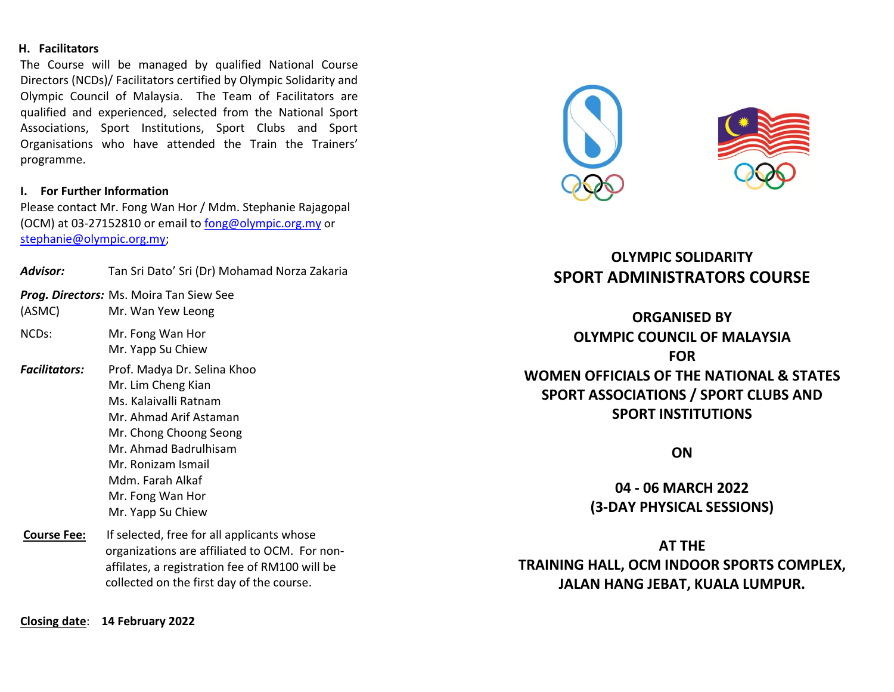#### **H. Facilitators**

The Course will be managed by qualified National Course Directors (NCDs)/ Facilitators certified by Olympic Solidarity and Olympic Council of Malaysia. The Team of Facilitators are qualified and experienced, selected from the National Sport Associations, Sport Institutions, Sport Clubs and Sport Organisations who have attended the Train the Trainers' programme.

#### **I. For Further Information**

Please contact Mr. Fong Wan Hor / Mdm. Stephanie Rajagopal (OCM) at 03-27152810 or email to [fong@olympic.org.my](mailto:fong@olympic.org.my) or [stephanie@olympic.org.my;](mailto:stephanie@olympic.org.my)

| Advisor:             | Tan Sri Dato' Sri (Dr) Mohamad Norza Zakaria                                                                                                                                                                                               |
|----------------------|--------------------------------------------------------------------------------------------------------------------------------------------------------------------------------------------------------------------------------------------|
| (ASMC)               | <b>Prog. Directors:</b> Ms. Moira Tan Siew See<br>Mr. Wan Yew Leong                                                                                                                                                                        |
| NCD <sub>s</sub> :   | Mr. Fong Wan Hor<br>Mr. Yapp Su Chiew                                                                                                                                                                                                      |
| <b>Facilitators:</b> | Prof. Madya Dr. Selina Khoo<br>Mr. Lim Cheng Kian<br>Ms. Kalaivalli Ratnam<br>Mr. Ahmad Arif Astaman<br>Mr. Chong Choong Seong<br>Mr. Ahmad Badrulhisam<br>Mr. Ronizam Ismail<br>Mdm. Farah Alkaf<br>Mr. Fong Wan Hor<br>Mr. Yapp Su Chiew |
| <b>Course Fee:</b>   | If selected, free for all applicants whose<br>organizations are affiliated to OCM. For non-<br>affilates, a registration fee of RM100 will be<br>collected on the first day of the course.                                                 |



# **OLYMPIC SOLIDARITY SPORT ADMINISTRATORS COURSE**

# **ORGANISED BY OLYMPIC COUNCIL OF MALAYSIA FOR WOMEN OFFICIALS OF THE NATIONAL & STATES SPORT ASSOCIATIONS / SPORT CLUBS AND SPORT INSTITUTIONS**

**ON**

**04 - 06 MARCH 2022 (3-DAY PHYSICAL SESSIONS)**

**AT THE TRAINING HALL, OCM INDOOR SPORTS COMPLEX, JALAN HANG JEBAT, KUALA LUMPUR.**

**Closing date**: **14 February 2022**